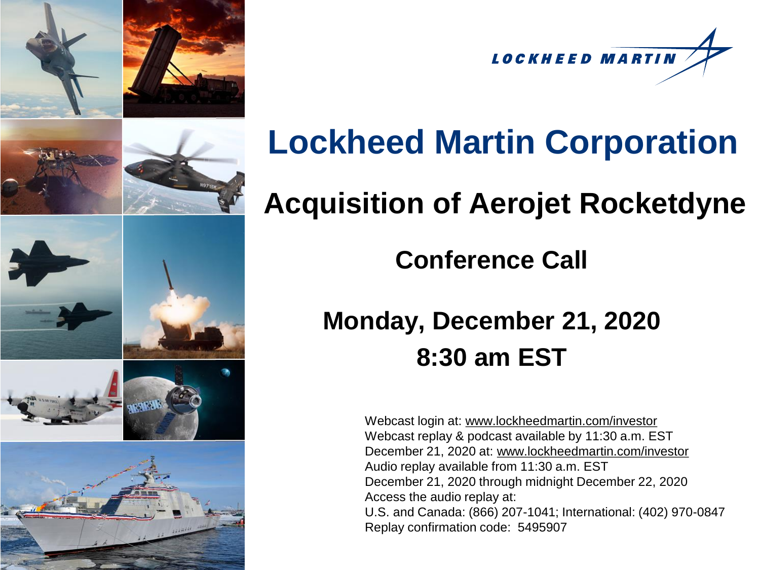





# **Lockheed Martin Corporation**

## **Acquisition of Aerojet Rocketdyne**

#### **Conference Call**

### **Monday, December 21, 2020 8:30 am EST**

Webcast login at: [www.lockheedmartin.com/investor](http://www.lockheedmartin.com/investor) Webcast replay & podcast available by 11:30 a.m. EST December 21, 2020 at: [www.lockheedmartin.com/investor](http://www.lockheedmartin.com/investor) Audio replay available from 11:30 a.m. EST December 21, 2020 through midnight December 22, 2020 Access the audio replay at: U.S. and Canada: (866) 207-1041; International: (402) 970-0847 Replay confirmation code: 5495907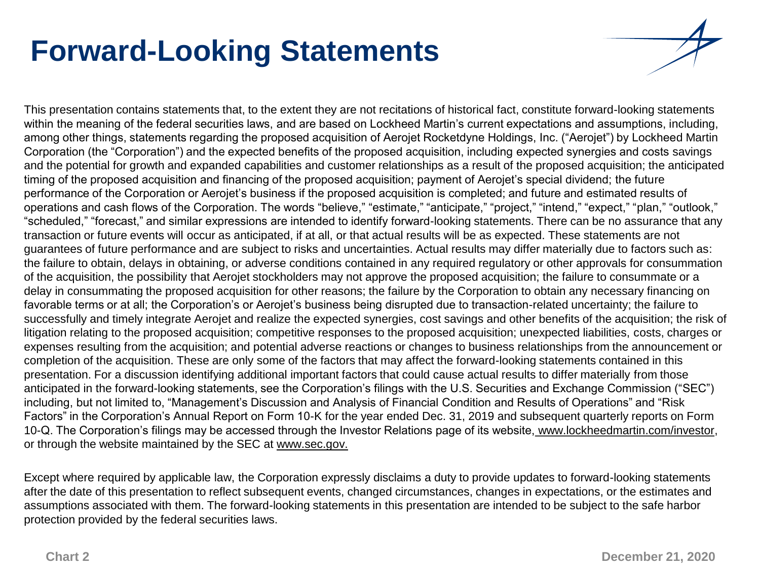## **Forward-Looking Statements**

or through the website maintained by the SEC at www.sec.gov.

This presentation contains statements that, to the extent they are not recitations of historical fact, constitute forward-looking statements within the meaning of the federal securities laws, and are based on Lockheed Martin's current expectations and assumptions, including, among other things, statements regarding the proposed acquisition of Aerojet Rocketdyne Holdings, Inc. ("Aerojet") by Lockheed Martin Corporation (the "Corporation") and the expected benefits of the proposed acquisition, including expected synergies and costs savings and the potential for growth and expanded capabilities and customer relationships as a result of the proposed acquisition; the anticipated timing of the proposed acquisition and financing of the proposed acquisition; payment of Aerojet's special dividend; the future performance of the Corporation or Aerojet's business if the proposed acquisition is completed; and future and estimated results of operations and cash flows of the Corporation. The words "believe," "estimate," "anticipate," "project," "intend," "expect," "plan," "outlook," "scheduled," "forecast," and similar expressions are intended to identify forward-looking statements. There can be no assurance that any transaction or future events will occur as anticipated, if at all, or that actual results will be as expected. These statements are not guarantees of future performance and are subject to risks and uncertainties. Actual results may differ materially due to factors such as: the failure to obtain, delays in obtaining, or adverse conditions contained in any required regulatory or other approvals for consummation of the acquisition, the possibility that Aerojet stockholders may not approve the proposed acquisition; the failure to consummate or a delay in consummating the proposed acquisition for other reasons; the failure by the Corporation to obtain any necessary financing on favorable terms or at all; the Corporation's or Aerojet's business being disrupted due to transaction-related uncertainty; the failure to successfully and timely integrate Aerojet and realize the expected synergies, cost savings and other benefits of the acquisition; the risk of litigation relating to the proposed acquisition; competitive responses to the proposed acquisition; unexpected liabilities, costs, charges or expenses resulting from the acquisition; and potential adverse reactions or changes to business relationships from the announcement or completion of the acquisition. These are only some of the factors that may affect the forward-looking statements contained in this presentation. For a discussion identifying additional important factors that could cause actual results to differ materially from those anticipated in the forward-looking statements, see the Corporation's filings with the U.S. Securities and Exchange Commission ("SEC") including, but not limited to, "Management's Discussion and Analysis of Financial Condition and Results of Operations" and "Risk Factors" in the Corporation's Annual Report on Form 10-K for the year ended Dec. 31, 2019 and subsequent quarterly reports on Form 10-Q. The Corporation's filings may be accessed through the Investor Relations page of its website, www.lockheedmartin.com/investor,

Except where required by applicable law, the Corporation expressly disclaims a duty to provide updates to forward-looking statements after the date of this presentation to reflect subsequent events, changed circumstances, changes in expectations, or the estimates and assumptions associated with them. The forward-looking statements in this presentation are intended to be subject to the safe harbor protection provided by the federal securities laws.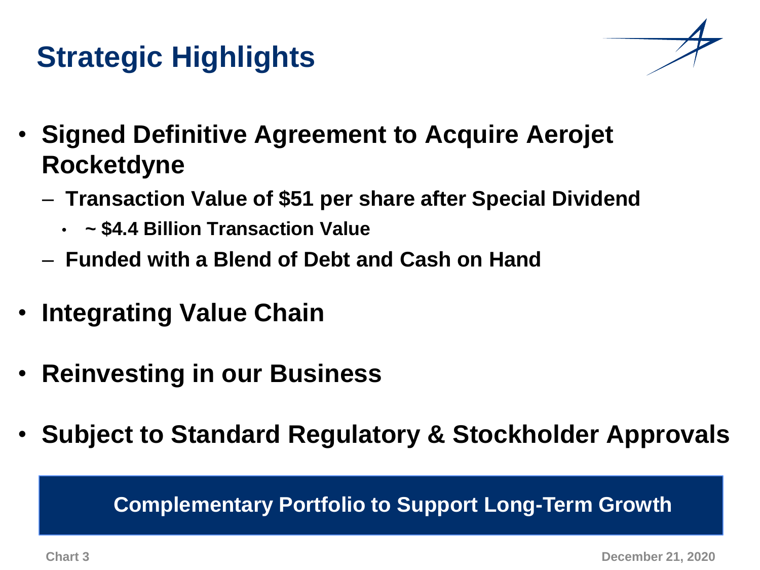## **Strategic Highlights**

- **Signed Definitive Agreement to Acquire Aerojet Rocketdyne**
	- **Transaction Value of \$51 per share after Special Dividend** 
		- **~ \$4.4 Billion Transaction Value**
	- **Funded with a Blend of Debt and Cash on Hand**
- **Integrating Value Chain**
- **Reinvesting in our Business**
- **Subject to Standard Regulatory & Stockholder Approvals**

## **Complementary Portfolio to Support Long-Term Growth**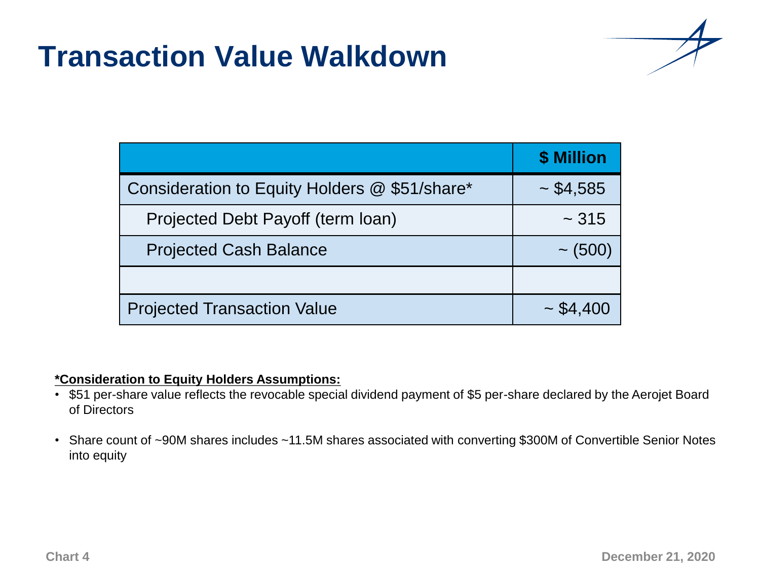### **Transaction Value Walkdown**



|                                               | \$ Million     |
|-----------------------------------------------|----------------|
| Consideration to Equity Holders @ \$51/share* | $\sim$ \$4,585 |
| Projected Debt Payoff (term loan)             | $~1$ - 315     |
| <b>Projected Cash Balance</b>                 | $\sim$ (500)   |
|                                               |                |
| <b>Projected Transaction Value</b>            | $\sim$ \$4,400 |

#### **\*Consideration to Equity Holders Assumptions:**

- \$51 per-share value reflects the revocable special dividend payment of \$5 per-share declared by the Aerojet Board of Directors
- Share count of ~90M shares includes ~11.5M shares associated with converting \$300M of Convertible Senior Notes into equity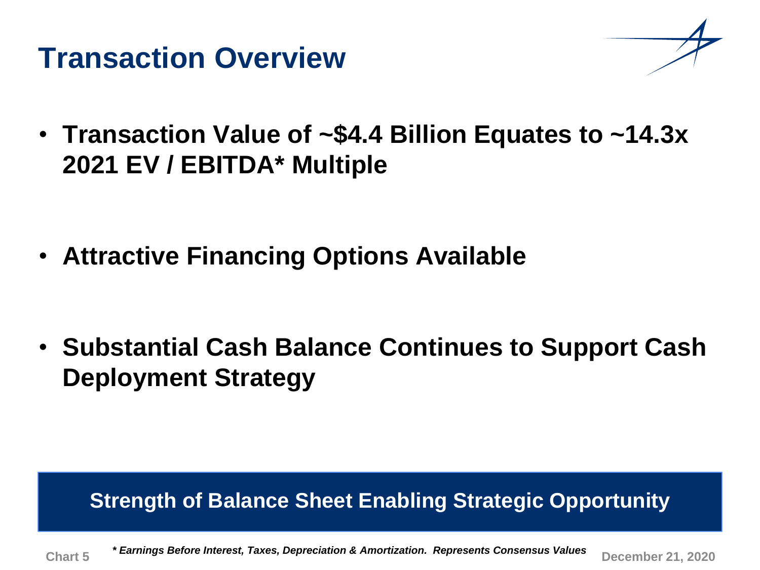### **Transaction Overview**



• **Transaction Value of ~\$4.4 Billion Equates to ~14.3x 2021 EV / EBITDA\* Multiple**

• **Attractive Financing Options Available**

• **Substantial Cash Balance Continues to Support Cash Deployment Strategy**

#### ance Sheet Enability Strateg<br>-**Strength of Balance Sheet Enabling Strategic Opportunity**

**Chart 5 December 21, 2020** *\* Earnings Before Interest, Taxes, Depreciation & Amortization. Represents Consensus Values*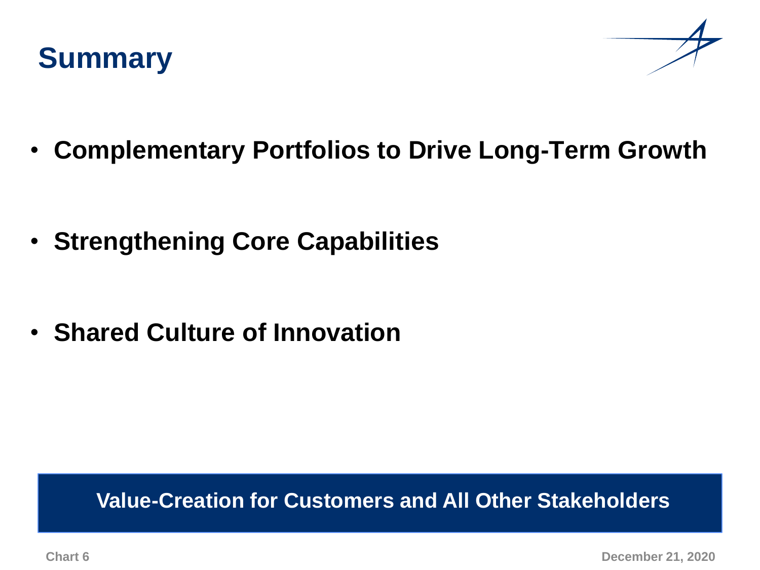



• **Complementary Portfolios to Drive Long-Term Growth**

• **Strengthening Core Capabilities**

• **Shared Culture of Innovation** 

#### **Strong Strong Start Start Strong Strong Strong Strong Strong Strong Strong Strong Strong Strong Strong Strong Value-Creation for Customers and All Other Stakeholders**